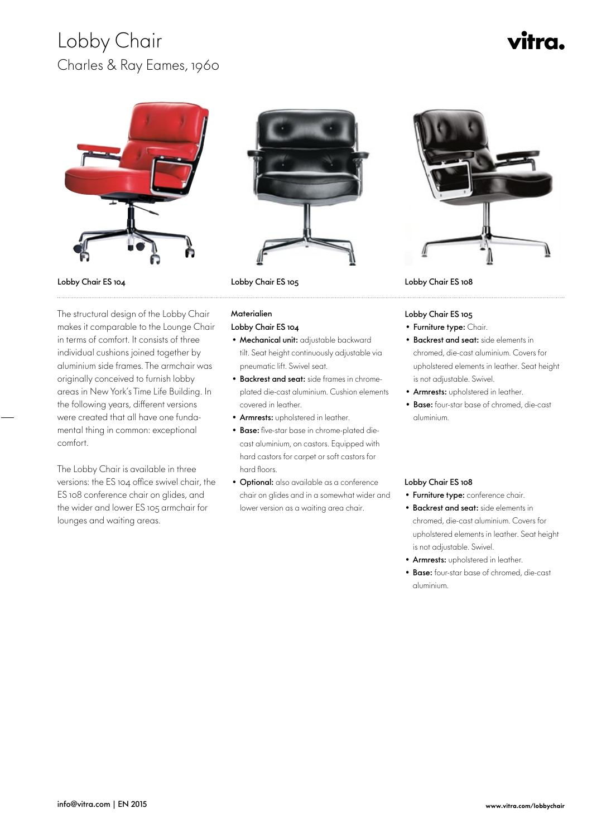### Lobby Chair Charles & Ray Eames, 1960

## ítra.



Lobby Chair ES 104

 The structural design of the Lobby Chair makes it comparable to the Lounge Chair in terms of comfort. It consists of three individual cushions joined together by aluminium side frames. The armchair was originally conceived to furnish lobby areas in New York's Time Life Building. In the following years, different versions were created that all have one fundamental thing in common: exceptional comfort.

The Lobby Chair is available in three versions: the ES 104 office swivel chair, the ES 108 conference chair on glides, and the wider and lower ES 105 armchair for lounges and waiting areas.



Lobby Chair ES 105

### **Materialien**

- Lobby Chair ES 104
- Mechanical unit: adjustable backward tilt. Seat height continuously adjustable via pneumatic lift. Swivel seat.
- Backrest and seat: side frames in chromeplated die-cast aluminium. Cushion elements covered in leather.
- Armrests: upholstered in leather.
- Base: five-star base in chrome-plated diecast aluminium, on castors. Equipped with hard castors for carpet or soft castors for hard floors.
- Optional: also available as a conference chair on glides and in a somewhat wider and lower version as a waiting area chair.



Lobby Chair ES 108

Lobby Chair ES 105

- Furniture type: Chair.
- Backrest and seat: side elements in chromed, die-cast aluminium. Covers for upholstered elements in leather. Seat height is not adjustable. Swivel.
- Armrests: upholstered in leather.
- Base: four-star base of chromed, die-cast aluminium.

#### Lobby Chair ES 108

- Furniture type: conference chair.
- Backrest and seat: side elements in chromed, die-cast aluminium. Covers for upholstered elements in leather. Seat height is not adjustable. Swivel.
- Armrests: upholstered in leather.
- Base: four-star base of chromed, die-cast aluminium.